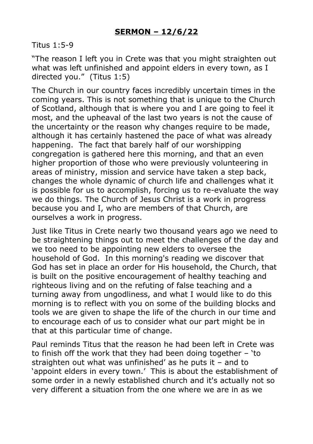## Titus 1:5-9

"The reason I left you in Crete was that you might straighten out what was left unfinished and appoint elders in every town, as I directed you." (Titus 1:5)

The Church in our country faces incredibly uncertain times in the coming years. This is not something that is unique to the Church of Scotland, although that is where you and I are going to feel it most, and the upheaval of the last two years is not the cause of the uncertainty or the reason why changes require to be made, although it has certainly hastened the pace of what was already happening. The fact that barely half of our worshipping congregation is gathered here this morning, and that an even higher proportion of those who were previously volunteering in areas of ministry, mission and service have taken a step back, changes the whole dynamic of church life and challenges what it is possible for us to accomplish, forcing us to re-evaluate the way we do things. The Church of Jesus Christ is a work in progress because you and I, who are members of that Church, are ourselves a work in progress.

Just like Titus in Crete nearly two thousand years ago we need to be straightening things out to meet the challenges of the day and we too need to be appointing new elders to oversee the household of God. In this morning's reading we discover that God has set in place an order for His household, the Church, that is built on the positive encouragement of healthy teaching and righteous living and on the refuting of false teaching and a turning away from ungodliness, and what I would like to do this morning is to reflect with you on some of the building blocks and tools we are given to shape the life of the church in our time and to encourage each of us to consider what our part might be in that at this particular time of change.

Paul reminds Titus that the reason he had been left in Crete was to finish off the work that they had been doing together  $-$  'to straighten out what was unfinished' as he puts it – and to 'appoint elders in every town.' This is about the establishment of some order in a newly established church and it's actually not so very different a situation from the one where we are in as we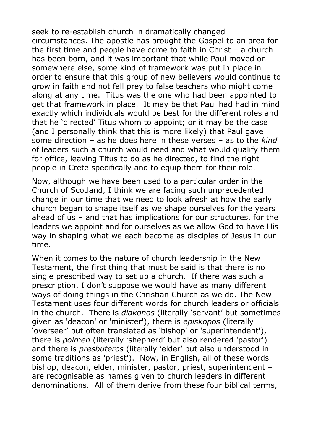seek to re-establish church in dramatically changed circumstances. The apostle has brought the Gospel to an area for the first time and people have come to faith in Christ – a church has been born, and it was important that while Paul moved on somewhere else, some kind of framework was put in place in order to ensure that this group of new believers would continue to grow in faith and not fall prey to false teachers who might come along at any time. Titus was the one who had been appointed to get that framework in place. It may be that Paul had had in mind exactly which individuals would be best for the different roles and that he 'directed' Titus whom to appoint; or it may be the case (and I personally think that this is more likely) that Paul gave some direction – as he does here in these verses – as to the *kind* of leaders such a church would need and what would qualify them for office, leaving Titus to do as he directed, to find the right people in Crete specifically and to equip them for their role.

Now, although we have been used to a particular order in the Church of Scotland, I think we are facing such unprecedented change in our time that we need to look afresh at how the early church began to shape itself as we shape ourselves for the years ahead of us – and that has implications for our structures, for the leaders we appoint and for ourselves as we allow God to have His way in shaping what we each become as disciples of Jesus in our time.

When it comes to the nature of church leadership in the New Testament, the first thing that must be said is that there is no single prescribed way to set up a church. If there was such a prescription, I don't suppose we would have as many different ways of doing things in the Christian Church as we do. The New Testament uses four different words for church leaders or officials in the church. There is *diakonos* (literally 'servant' but sometimes given as 'deacon' or 'minister'), there is *episkopos* (literally 'overseer' but often translated as 'bishop' or 'superintendent'), there is *poimen* (literally 'shepherd' but also rendered 'pastor') and there is *presbuteros* (literally 'elder' but also understood in some traditions as 'priest'). Now, in English, all of these words – bishop, deacon, elder, minister, pastor, priest, superintendent – are recognisable as names given to church leaders in different denominations. All of them derive from these four biblical terms,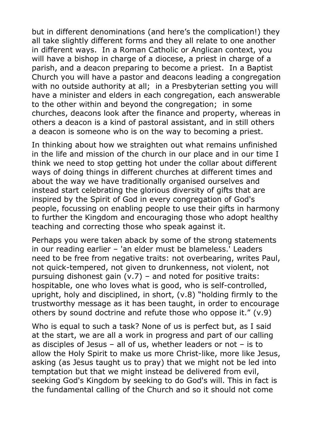but in different denominations (and here's the complication!) they all take slightly different forms and they all relate to one another in different ways. In a Roman Catholic or Anglican context, you will have a bishop in charge of a diocese, a priest in charge of a parish, and a deacon preparing to become a priest. In a Baptist Church you will have a pastor and deacons leading a congregation with no outside authority at all; in a Presbyterian setting you will have a minister and elders in each congregation, each answerable to the other within and beyond the congregation; in some churches, deacons look after the finance and property, whereas in others a deacon is a kind of pastoral assistant, and in still others a deacon is someone who is on the way to becoming a priest.

In thinking about how we straighten out what remains unfinished in the life and mission of the church in our place and in our time I think we need to stop getting hot under the collar about different ways of doing things in different churches at different times and about the way we have traditionally organised ourselves and instead start celebrating the glorious diversity of gifts that are inspired by the Spirit of God in every congregation of God's people, focussing on enabling people to use their gifts in harmony to further the Kingdom and encouraging those who adopt healthy teaching and correcting those who speak against it.

Perhaps you were taken aback by some of the strong statements in our reading earlier – 'an elder must be blameless.' Leaders need to be free from negative traits: not overbearing, writes Paul, not quick-tempered, not given to drunkenness, not violent, not pursuing dishonest gain (v.7) – and noted for positive traits: hospitable, one who loves what is good, who is self-controlled, upright, holy and disciplined, in short, (v.8) "holding firmly to the trustworthy message as it has been taught, in order to encourage others by sound doctrine and refute those who oppose it." (v.9)

Who is equal to such a task? None of us is perfect but, as I said at the start, we are all a work in progress and part of our calling as disciples of Jesus – all of us, whether leaders or not – is to allow the Holy Spirit to make us more Christ-like, more like Jesus, asking (as Jesus taught us to pray) that we might not be led into temptation but that we might instead be delivered from evil, seeking God's Kingdom by seeking to do God's will. This in fact is the fundamental calling of the Church and so it should not come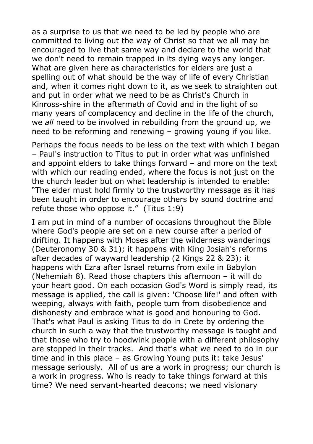as a surprise to us that we need to be led by people who are committed to living out the way of Christ so that we all may be encouraged to live that same way and declare to the world that we don't need to remain trapped in its dying ways any longer. What are given here as characteristics for elders are just a spelling out of what should be the way of life of every Christian and, when it comes right down to it, as we seek to straighten out and put in order what we need to be as Christ's Church in Kinross-shire in the aftermath of Covid and in the light of so many years of complacency and decline in the life of the church, we *all* need to be involved in rebuilding from the ground up, we need to be reforming and renewing – growing young if you like.

Perhaps the focus needs to be less on the text with which I began – Paul's instruction to Titus to put in order what was unfinished and appoint elders to take things forward – and more on the text with which our reading ended, where the focus is not just on the the church leader but on what leadership is intended to enable: "The elder must hold firmly to the trustworthy message as it has been taught in order to encourage others by sound doctrine and refute those who oppose it." (Titus 1:9)

I am put in mind of a number of occasions throughout the Bible where God's people are set on a new course after a period of drifting. It happens with Moses after the wilderness wanderings (Deuteronomy 30 & 31); it happens with King Josiah's reforms after decades of wayward leadership (2 Kings 22 & 23); it happens with Ezra after Israel returns from exile in Babylon (Nehemiah 8). Read those chapters this afternoon – it will do your heart good. On each occasion God's Word is simply read, its message is applied, the call is given: 'Choose life!' and often with weeping, always with faith, people turn from disobedience and dishonesty and embrace what is good and honouring to God. That's what Paul is asking Titus to do in Crete by ordering the church in such a way that the trustworthy message is taught and that those who try to hoodwink people with a different philosophy are stopped in their tracks. And that's what we need to do in our time and in this place – as Growing Young puts it: take Jesus' message seriously. All of us are a work in progress; our church is a work in progress. Who is ready to take things forward at this time? We need servant-hearted deacons; we need visionary